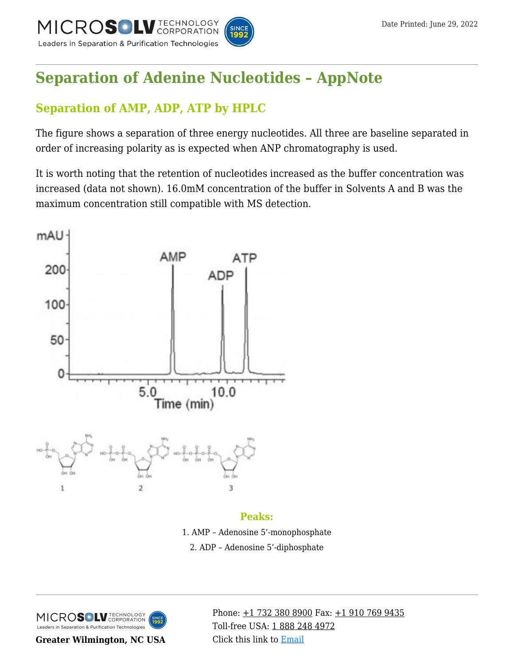

# **[Separation of Adenine Nucleotides – AppNote](https://kb.mtc-usa.com/article/aa-01673/46/)**

# **Separation of AMP, ADP, ATP by HPLC**

The figure shows a separation of three energy nucleotides. All three are baseline separated in order of increasing polarity as is expected when ANP chromatography is used.

It is worth noting that the retention of nucleotides increased as the buffer concentration was increased (data not shown). 16.0mM concentration of the buffer in Solvents A and B was the maximum concentration still compatible with MS detection.



#### **Peaks:**

1. AMP – Adenosine 5'-monophosphate 2. ADP – Adenosine 5'-diphosphate



**Greater Wilmington, NC USA**

Phone:  $\pm$ 1 732 380 8900 Fax:  $\pm$ 1 910 769 9435 Toll-free USA: [1 888 248 4972](#page--1-0) Click this link to [Email](https://www.mtc-usa.com/contact)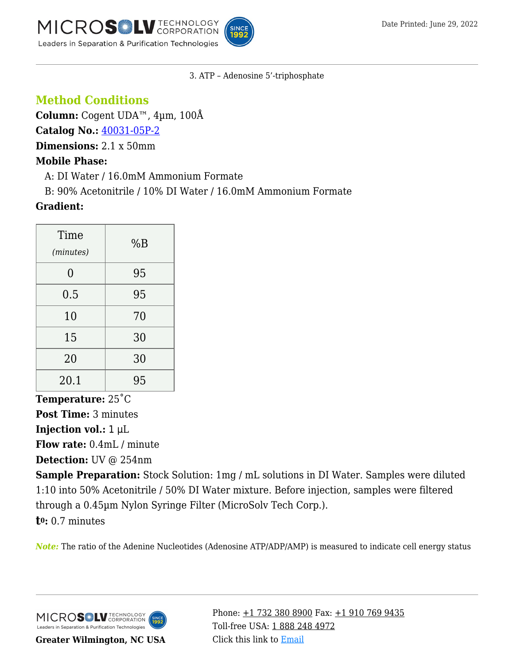MICROS LU TECHNOLOGY Leaders in Separation & Purification Technologies



#### 3. ATP – Adenosine 5'-triphosphate

# **Method Conditions**

**Column:** Cogent UDA™, 4µm, 100Å

**Catalog No.:** [40031-05P-2](https://www.mtc-usa.com/product-details/id/4115258)

**Dimensions:** 2.1 x 50mm

### **Mobile Phase:**

—A: DI Water / 16.0mM Ammonium Formate

—B: 90% Acetonitrile / 10% DI Water / 16.0mM Ammonium Formate

## **Gradient:**

| Time<br>(minutes) | %B |
|-------------------|----|
| 0                 | 95 |
| 0.5               | 95 |
| 10                | 70 |
| 15                | 30 |
| 20                | 30 |
| 20.1              | 95 |

**Temperature:** 25˚C

**Post Time:** 3 minutes

**Injection vol.:** 1 μL

**Flow rate:** 0.4mL / minute

**Detection:** UV @ 254nm

**Sample Preparation:** Stock Solution: 1mg / mL solutions in DI Water. Samples were diluted 1:10 into 50% Acetonitrile / 50% DI Water mixture. Before injection, samples were filtered through a 0.45µm Nylon Syringe Filter (MicroSolv Tech Corp.).

**t0:** 0.7 minutes

*Note:* The ratio of the Adenine Nucleotides (Adenosine ATP/ADP/AMP) is measured to indicate cell energy status

MICROS LU TECHNOLOGY Leaders in Separation & Purification Technologies

**Greater Wilmington, NC USA**

Phone:  $\pm$ 1 732 380 8900 Fax:  $\pm$ 1 910 769 9435 Toll-free USA: [1 888 248 4972](#page--1-0) Click this link to [Email](https://www.mtc-usa.com/contact)